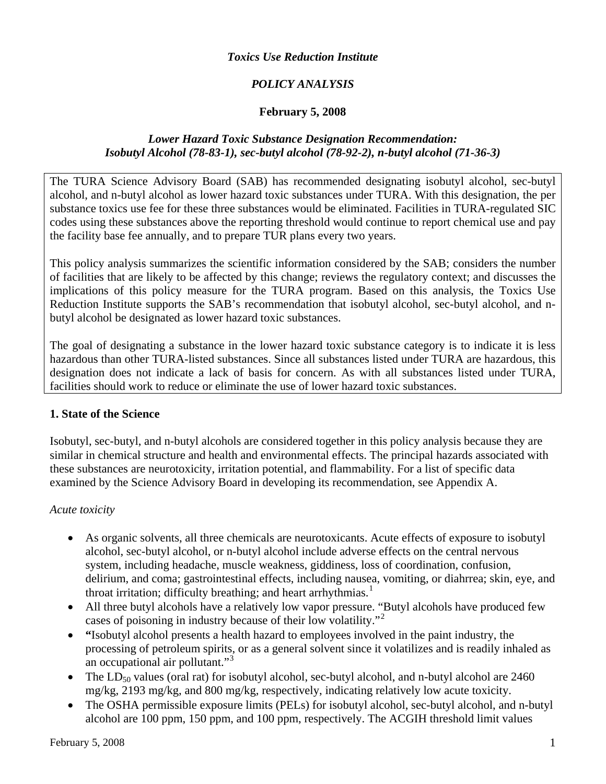#### *Toxics Use Reduction Institute*

## *POLICY ANALYSIS*

#### **February 5, 2008**

#### *Lower Hazard Toxic Substance Designation Recommendation: Isobutyl Alcohol (78-83-1), sec-butyl alcohol (78-92-2), n-butyl alcohol (71-36-3)*

The TURA Science Advisory Board (SAB) has recommended designating isobutyl alcohol, sec-butyl alcohol, and n-butyl alcohol as lower hazard toxic substances under TURA. With this designation, the per substance toxics use fee for these three substances would be eliminated. Facilities in TURA-regulated SIC codes using these substances above the reporting threshold would continue to report chemical use and pay the facility base fee annually, and to prepare TUR plans every two years.

This policy analysis summarizes the scientific information considered by the SAB; considers the number of facilities that are likely to be affected by this change; reviews the regulatory context; and discusses the implications of this policy measure for the TURA program. Based on this analysis, the Toxics Use Reduction Institute supports the SAB's recommendation that isobutyl alcohol, sec-butyl alcohol, and nbutyl alcohol be designated as lower hazard toxic substances.

The goal of designating a substance in the lower hazard toxic substance category is to indicate it is less hazardous than other TURA-listed substances. Since all substances listed under TURA are hazardous, this designation does not indicate a lack of basis for concern. As with all substances listed under TURA, facilities should work to reduce or eliminate the use of lower hazard toxic substances.

#### **1. State of the Science**

Isobutyl, sec-butyl, and n-butyl alcohols are considered together in this policy analysis because they are similar in chemical structure and health and environmental effects. The principal hazards associated with these substances are neurotoxicity, irritation potential, and flammability. For a list of specific data examined by the Science Advisory Board in developing its recommendation, see Appendix A.

#### *Acute toxicity*

- As organic solvents, all three chemicals are neurotoxicants. Acute effects of exposure to isobutyl alcohol, sec-butyl alcohol, or n-butyl alcohol include adverse effects on the central nervous system, including headache, muscle weakness, giddiness, loss of coordination, confusion, delirium, and coma; gastrointestinal effects, including nausea, vomiting, or diahrrea; skin, eye, and throat irritation; difficulty breathing; and heart arrhythmias.<sup>[1](#page-4-0)</sup>
- All three butyl alcohols have a relatively low vapor pressure. "Butyl alcohols have produced few cases of poisoning in industry because of their low volatility."[2](#page-4-1)
- **"**Isobutyl alcohol presents a health hazard to employees involved in the paint industry, the processing of petroleum spirits, or as a general solvent since it volatilizes and is readily inhaled as an occupational air pollutant."<sup>[3](#page-4-1)</sup>
- The  $LD_{50}$  values (oral rat) for isobutyl alcohol, sec-butyl alcohol, and n-butyl alcohol are 2460 mg/kg, 2193 mg/kg, and 800 mg/kg, respectively, indicating relatively low acute toxicity.
- The OSHA permissible exposure limits (PELs) for isobutyl alcohol, sec-butyl alcohol, and n-butyl alcohol are 100 ppm, 150 ppm, and 100 ppm, respectively. The ACGIH threshold limit values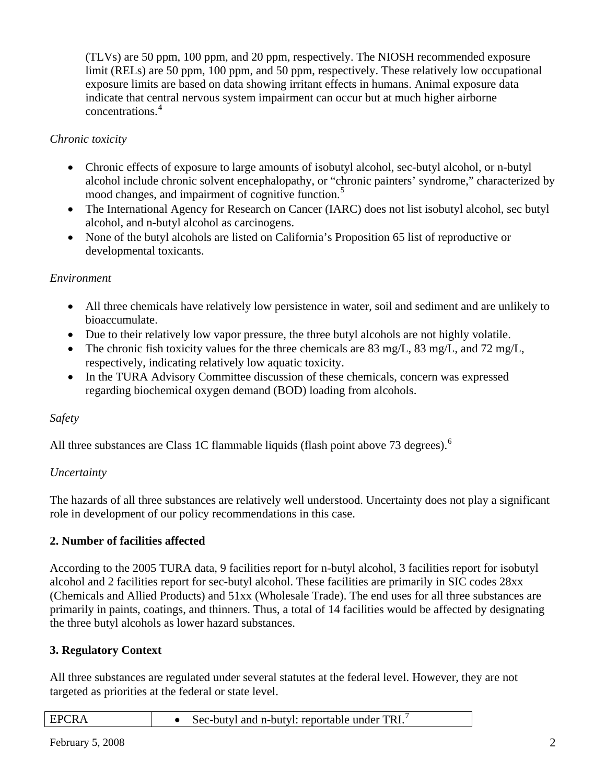(TLVs) are 50 ppm, 100 ppm, and 20 ppm, respectively. The NIOSH recommended exposure limit (RELs) are 50 ppm, 100 ppm, and 50 ppm, respectively. These relatively low occupational exposure limits are based on data showing irritant effects in humans. Animal exposure data indicate that central nervous system impairment can occur but at much higher airborne concentrations.<sup>4</sup>

## *Chronic toxicity*

- Chronic effects of exposure to large amounts of isobutyl alcohol, sec-butyl alcohol, or n-butyl alcohol include chronic solvent encephalopathy, or "chronic painters' syndrome," characterized by mood changes, and impairment of cognitive function.<sup>[5](#page-4-1)</sup>
- The International Agency for Research on Cancer (IARC) does not list isobutyl alcohol, sec butyl alcohol, and n-butyl alcohol as carcinogens.
- None of the butyl alcohols are listed on California's Proposition 65 list of reproductive or developmental toxicants.

### *Environment*

- All three chemicals have relatively low persistence in water, soil and sediment and are unlikely to bioaccumulate.
- Due to their relatively low vapor pressure, the three butyl alcohols are not highly volatile.
- The chronic fish toxicity values for the three chemicals are 83 mg/L, 83 mg/L, and 72 mg/L, respectively, indicating relatively low aquatic toxicity.
- In the TURA Advisory Committee discussion of these chemicals, concern was expressed regarding biochemical oxygen demand (BOD) loading from alcohols.

### *Safety*

All three substances are Class 1C flammable liquids (flash point above 73 degrees).<sup>[6](#page-4-1)</sup>

### *Uncertainty*

The hazards of all three substances are relatively well understood. Uncertainty does not play a significant role in development of our policy recommendations in this case.

### **2. Number of facilities affected**

According to the 2005 TURA data, 9 facilities report for n-butyl alcohol, 3 facilities report for isobutyl alcohol and 2 facilities report for sec-butyl alcohol. These facilities are primarily in SIC codes 28xx (Chemicals and Allied Products) and 51xx (Wholesale Trade). The end uses for all three substances are primarily in paints, coatings, and thinners. Thus, a total of 14 facilities would be affected by designating the three butyl alcohols as lower hazard substances.

# **3. Regulatory Context**

All three substances are regulated under several statutes at the federal level. However, they are not targeted as priorities at the federal or state level.

| <b>EPCRA</b><br>Sec-butyl and n-butyl: reportable under TRI. |  |
|--------------------------------------------------------------|--|
|--------------------------------------------------------------|--|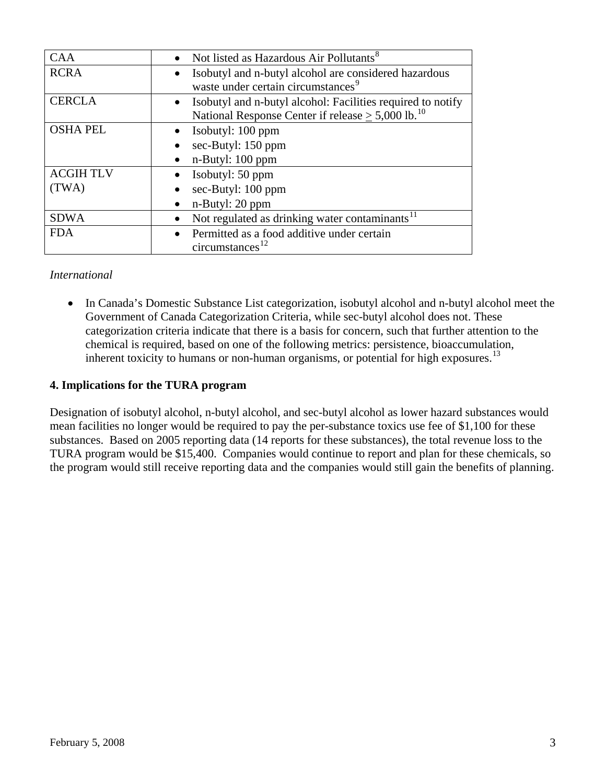| <b>CAA</b>      | Not listed as Hazardous Air Pollutants <sup>8</sup>                |
|-----------------|--------------------------------------------------------------------|
| <b>RCRA</b>     | Isobutyl and n-butyl alcohol are considered hazardous              |
|                 | waste under certain circumstances <sup>9</sup>                     |
| <b>CERCLA</b>   | • Isobutyl and n-butyl alcohol: Facilities required to notify      |
|                 | National Response Center if release $\geq 5,000$ lb. <sup>10</sup> |
| <b>OSHA PEL</b> | • Isobutyl: $100$ ppm                                              |
|                 | sec-Butyl: 150 ppm                                                 |
|                 | n-Butyl: 100 ppm                                                   |
| <b>ACGIHTLV</b> | Isobutyl: 50 ppm                                                   |
| (TWA)           | sec-Butyl: 100 ppm                                                 |
|                 | n-Butyl: 20 ppm                                                    |
| <b>SDWA</b>     | Not regulated as drinking water contaminants <sup>11</sup>         |
| <b>FDA</b>      | Permitted as a food additive under certain                         |
|                 | circumstances                                                      |

#### *International*

• In Canada's Domestic Substance List categorization, isobutyl alcohol and n-butyl alcohol meet the Government of Canada Categorization Criteria, while sec-butyl alcohol does not. These categorization criteria indicate that there is a basis for concern, such that further attention to the chemical is required, based on one of the following metrics: persistence, bioaccumulation, inherent toxicity to humans or non-human organisms, or potential for high exposures.<sup>[13](#page-5-0)</sup>

#### **4. Implications for the TURA program**

Designation of isobutyl alcohol, n-butyl alcohol, and sec-butyl alcohol as lower hazard substances would mean facilities no longer would be required to pay the per-substance toxics use fee of \$1,100 for these substances. Based on 2005 reporting data (14 reports for these substances), the total revenue loss to the TURA program would be \$15,400. Companies would continue to report and plan for these chemicals, so the program would still receive reporting data and the companies would still gain the benefits of planning.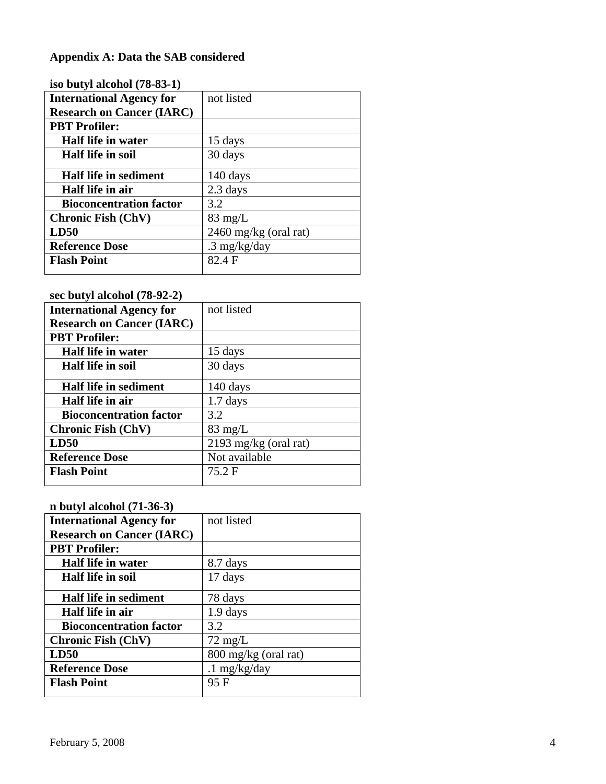# **Appendix A: Data the SAB considered**

| 150 DULYI AICONOI (70-03-17      |                         |
|----------------------------------|-------------------------|
| <b>International Agency for</b>  | not listed              |
| <b>Research on Cancer (IARC)</b> |                         |
| <b>PBT</b> Profiler:             |                         |
| Half life in water               | 15 days                 |
| <b>Half life in soil</b>         | 30 days                 |
| <b>Half life in sediment</b>     | 140 days                |
| Half life in air                 | 2.3 days                |
| <b>Bioconcentration factor</b>   | 3.2                     |
| <b>Chronic Fish (ChV)</b>        | $83 \text{ mg/L}$       |
| LD50                             | $2460$ mg/kg (oral rat) |
| <b>Reference Dose</b>            | $.3 \text{ mg/kg/day}$  |
| <b>Flash Point</b>               | 82.4 F                  |
|                                  |                         |

## **iso butyl alcohol (78-83-1)**

## **sec butyl alcohol (78-92-2)**

| <b>International Agency for</b>  | not listed              |
|----------------------------------|-------------------------|
| <b>Research on Cancer (IARC)</b> |                         |
| <b>PBT</b> Profiler:             |                         |
| Half life in water               | 15 days                 |
| <b>Half life in soil</b>         | 30 days                 |
| <b>Half life in sediment</b>     | 140 days                |
| Half life in air                 | $1.7$ days              |
| <b>Bioconcentration factor</b>   | 3.2                     |
| <b>Chronic Fish (ChV)</b>        | $83 \text{ mg/L}$       |
| LD50                             | $2193$ mg/kg (oral rat) |
| <b>Reference Dose</b>            | Not available           |
| <b>Flash Point</b>               | 75.2 F                  |

#### **n butyl alcohol (71-36-3)**

| <b>International Agency for</b>  | not listed           |
|----------------------------------|----------------------|
| <b>Research on Cancer (IARC)</b> |                      |
| <b>PBT</b> Profiler:             |                      |
| Half life in water               | 8.7 days             |
| <b>Half life in soil</b>         | 17 days              |
| Half life in sediment            | 78 days              |
| Half life in air                 | $1.9$ days           |
| <b>Bioconcentration factor</b>   | 3.2                  |
| <b>Chronic Fish (ChV)</b>        | $72 \text{ mg/L}$    |
| LD50                             | 800 mg/kg (oral rat) |
| <b>Reference Dose</b>            | $.1$ mg/kg/day       |
| <b>Flash Point</b>               | 95 F                 |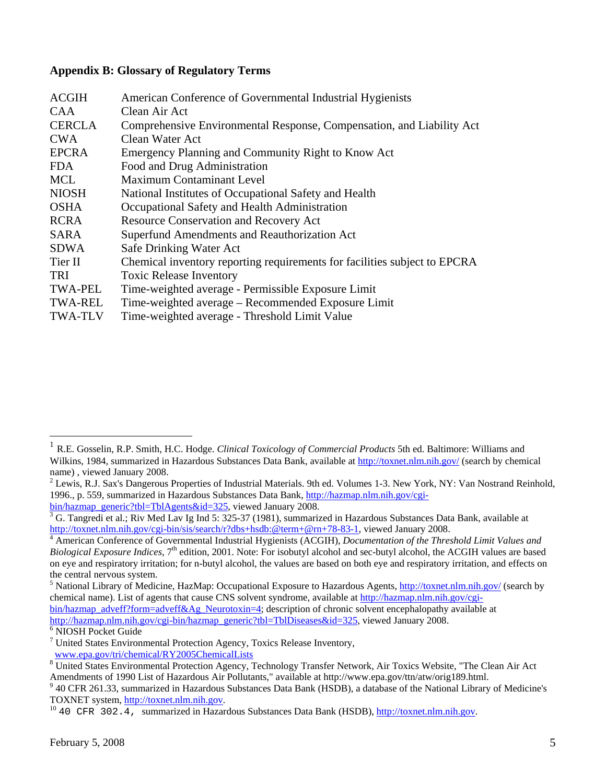#### <span id="page-4-1"></span>**Appendix B: Glossary of Regulatory Terms**

| <b>ACGIH</b>   | American Conference of Governmental Industrial Hygienists                 |
|----------------|---------------------------------------------------------------------------|
| <b>CAA</b>     | Clean Air Act                                                             |
| <b>CERCLA</b>  | Comprehensive Environmental Response, Compensation, and Liability Act     |
| <b>CWA</b>     | Clean Water Act                                                           |
| <b>EPCRA</b>   | Emergency Planning and Community Right to Know Act                        |
| <b>FDA</b>     | Food and Drug Administration                                              |
| <b>MCL</b>     | <b>Maximum Contaminant Level</b>                                          |
| <b>NIOSH</b>   | National Institutes of Occupational Safety and Health                     |
| <b>OSHA</b>    | Occupational Safety and Health Administration                             |
| <b>RCRA</b>    | Resource Conservation and Recovery Act                                    |
| <b>SARA</b>    | Superfund Amendments and Reauthorization Act                              |
| SDWA           | Safe Drinking Water Act                                                   |
| Tier II        | Chemical inventory reporting requirements for facilities subject to EPCRA |
| <b>TRI</b>     | <b>Toxic Release Inventory</b>                                            |
| <b>TWA-PEL</b> | Time-weighted average - Permissible Exposure Limit                        |
| <b>TWA-REL</b> | Time-weighted average – Recommended Exposure Limit                        |
| <b>TWA-TLV</b> | Time-weighted average - Threshold Limit Value                             |

<sup>6</sup> NIOSH Pocket Guide

 $\overline{a}$ 

<span id="page-4-0"></span><sup>1</sup> R.E. Gosselin, R.P. Smith, H.C. Hodge. *Clinical Toxicology of Commercial Products* 5th ed. Baltimore: Williams and Wilkins, 1984, summarized in Hazardous Substances Data Bank, available at <http://toxnet.nlm.nih.gov/> (search by chemical name) , viewed January 2008.

 $2$  Lewis, R.J. Sax's Dangerous Properties of Industrial Materials. 9th ed. Volumes 1-3. New York, NY: Van Nostrand Reinhold, 1996., p. 559, summarized in Hazardous Substances Data Bank, [http://hazmap.nlm.nih.gov/cgi](http://hazmap.nlm.nih.gov/cgi-bin/hazmap_generic?tbl=TblAgents&id=325)[bin/hazmap\\_generic?tbl=TblAgents&id=325,](http://hazmap.nlm.nih.gov/cgi-bin/hazmap_generic?tbl=TblAgents&id=325) viewed January 2008.

<sup>&</sup>lt;sup>3</sup> G. Tangredi et al.; Riv Med Lav Ig Ind 5: 325-37 (1981), summarized in Hazardous Substances Data Bank, available at [http://toxnet.nlm.nih.gov/cgi-bin/sis/search/r?dbs+hsdb:@term+@rn+78-83-1,](http://toxnet.nlm.nih.gov/cgi-bin/sis/search/r?dbs+hsdb:@term+@rn+78-83-1) viewed January 2008.

American Conference of Governmental Industrial Hygienists (ACGIH), *Documentation of the Threshold Limit Values and Biological Exposure Indices*, 7<sup>th</sup> edition, 2001. Note: For isobutyl alcohol and sec-butyl alcohol, the ACGIH values are based on eye and respiratory irritation; for n-butyl alcohol, the values are based on both eye and respiratory irritation, and effects on the central nervous system.

<sup>&</sup>lt;sup>5</sup> National Library of Medicine, HazMap: Occupational Exposure to Hazardous Agents, <http://toxnet.nlm.nih.gov/> (search by chemical name). List of agents that cause CNS solvent syndrome, available at [http://hazmap.nlm.nih.gov/cgi-](http://hazmap.nlm.nih.gov/cgi-bin/hazmap_adveff?form=adveff&Ag_Neurotoxin=4)

[bin/hazmap\\_adveff?form=adveff&Ag\\_Neurotoxin=4;](http://hazmap.nlm.nih.gov/cgi-bin/hazmap_adveff?form=adveff&Ag_Neurotoxin=4) description of chronic solvent encephalopathy available at [http://hazmap.nlm.nih.gov/cgi-bin/hazmap\\_generic?tbl=TblDiseases&id=325](http://hazmap.nlm.nih.gov/cgi-bin/hazmap_generic?tbl=TblDiseases&id=325), viewed January 2008.

<sup>&</sup>lt;sup>7</sup> United States Environmental Protection Agency, Toxics Release Inventory,

[www.epa.gov/tri/chemical/RY2005ChemicalLists](http://www.epa.gov/tri/chemical/RY2005ChemicalLists) 8

<sup>&</sup>lt;sup>8</sup> United States Environmental Protection Agency, Technology Transfer Network, Air Toxics Website, "The Clean Air Act Amendments of 1990 List of Hazardous Air Pollutants," available at http://www.epa.gov/ttn/atw/orig189.html.

 <sup>40</sup> CFR 261.33, summarized in Hazardous Substances Data Bank (HSDB), a database of the National Library of Medicine's TOXNET system, [http://toxnet.nlm.nih.gov](http://toxnet.nlm.nih.gov/).<br><sup>10</sup> 40 CFR 302.4, summarized in Hazardous Substances Data Bank (HSDB), http://toxnet.nlm.nih.gov.